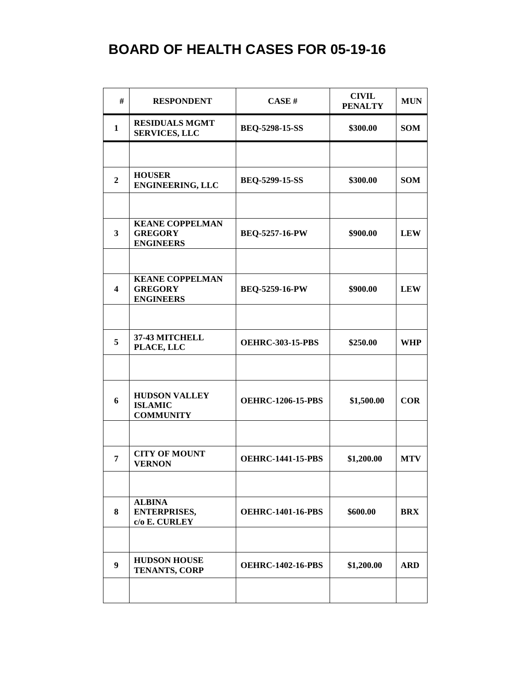| #                | <b>RESPONDENT</b>                                            | CASE H                   | <b>CIVIL</b><br><b>PENALTY</b> | <b>MUN</b> |
|------------------|--------------------------------------------------------------|--------------------------|--------------------------------|------------|
| 1                | <b>RESIDUALS MGMT</b><br><b>SERVICES, LLC</b>                | <b>BEQ-5298-15-SS</b>    | \$300.00                       | <b>SOM</b> |
|                  |                                                              |                          |                                |            |
| $\boldsymbol{2}$ | <b>HOUSER</b><br><b>ENGINEERING, LLC</b>                     | BEQ-5299-15-SS           | \$300.00                       | <b>SOM</b> |
|                  |                                                              |                          |                                |            |
| $\mathbf{3}$     | <b>KEANE COPPELMAN</b><br><b>GREGORY</b><br><b>ENGINEERS</b> | <b>BEQ-5257-16-PW</b>    | \$900.00                       | <b>LEW</b> |
|                  |                                                              |                          |                                |            |
| 4                | <b>KEANE COPPELMAN</b><br><b>GREGORY</b><br><b>ENGINEERS</b> | BEQ-5259-16-PW           | \$900.00                       | <b>LEW</b> |
|                  |                                                              |                          |                                |            |
| 5                | 37-43 MITCHELL<br>PLACE, LLC                                 | <b>OEHRC-303-15-PBS</b>  | \$250.00                       | <b>WHP</b> |
|                  |                                                              |                          |                                |            |
| 6                | <b>HUDSON VALLEY</b><br><b>ISLAMIC</b><br><b>COMMUNITY</b>   | <b>OEHRC-1206-15-PBS</b> | \$1,500.00                     | <b>COR</b> |
|                  |                                                              |                          |                                |            |
| 7                | <b>CITY OF MOUNT</b><br><b>VERNON</b>                        | <b>OEHRC-1441-15-PBS</b> | \$1,200.00                     | <b>MTV</b> |
|                  |                                                              |                          |                                |            |
| 8                | <b>ALBINA</b><br><b>ENTERPRISES,</b><br>c/o E. CURLEY        | <b>OEHRC-1401-16-PBS</b> | \$600.00                       | <b>BRX</b> |
|                  |                                                              |                          |                                |            |
| $\boldsymbol{9}$ | <b>HUDSON HOUSE</b><br><b>TENANTS, CORP</b>                  | <b>OEHRC-1402-16-PBS</b> | \$1,200.00                     | <b>ARD</b> |
|                  |                                                              |                          |                                |            |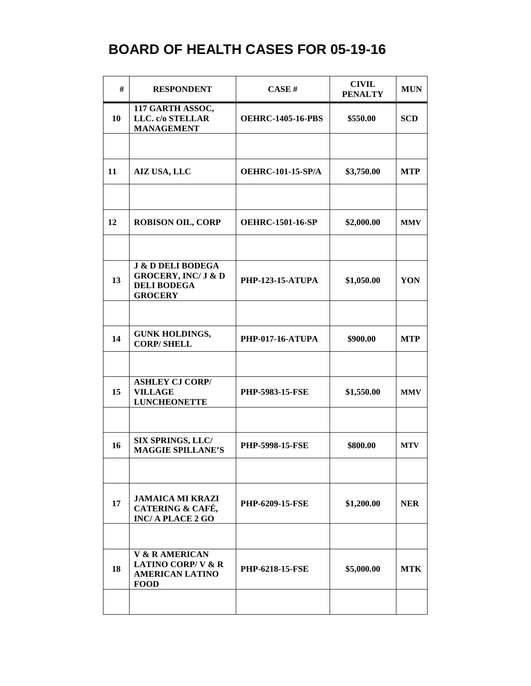| #  | <b>RESPONDENT</b>                                                                                      | CASE H                   | <b>CIVIL</b><br><b>PENALTY</b> | <b>MUN</b> |
|----|--------------------------------------------------------------------------------------------------------|--------------------------|--------------------------------|------------|
| 10 | 117 GARTH ASSOC,<br>LLC. c/o STELLAR<br><b>MANAGEMENT</b>                                              | <b>OEHRC-1405-16-PBS</b> | \$550.00                       | <b>SCD</b> |
|    |                                                                                                        |                          |                                |            |
| 11 | <b>AIZ USA, LLC</b>                                                                                    | <b>OEHRC-101-15-SP/A</b> | \$3,750.00                     | <b>MTP</b> |
| 12 | <b>ROBISON OIL, CORP</b>                                                                               | <b>OEHRC-1501-16-SP</b>  | \$2,000.00                     | <b>MMV</b> |
| 13 | <b>J &amp; D DELI BODEGA</b><br><b>GROCERY, INC/ J &amp; D</b><br><b>DELI BODEGA</b><br><b>GROCERY</b> | <b>PHP-123-15-ATUPA</b>  | \$1,050.00                     | YON        |
|    |                                                                                                        |                          |                                |            |
| 14 | <b>GUNK HOLDINGS,</b><br><b>CORP/SHELL</b>                                                             | <b>PHP-017-16-ATUPA</b>  | \$900.00                       | <b>MTP</b> |
|    | <b>ASHLEY CJ CORP/</b>                                                                                 |                          |                                |            |
| 15 | <b>VILLAGE</b><br><b>LUNCHEONETTE</b>                                                                  | <b>PHP-5983-15-FSE</b>   | \$1,550.00                     | <b>MMV</b> |
|    |                                                                                                        |                          |                                |            |
| 16 | <b>SIX SPRINGS, LLC/</b><br><b>MAGGIE SPILLANE'S</b>                                                   | <b>PHP-5998-15-FSE</b>   | \$800.00                       | <b>MTV</b> |
|    |                                                                                                        |                          |                                |            |
| 17 | <b>JAMAICA MI KRAZI</b><br>CATERING & CAFÉ,<br><b>INC/A PLACE 2 GO</b>                                 | <b>PHP-6209-15-FSE</b>   | \$1,200.00                     | <b>NER</b> |
|    |                                                                                                        |                          |                                |            |
| 18 | <b>V &amp; R AMERICAN</b><br><b>LATINO CORP/V &amp; R</b><br><b>AMERICAN LATINO</b><br><b>FOOD</b>     | <b>PHP-6218-15-FSE</b>   | \$5,000.00                     | <b>MTK</b> |
|    |                                                                                                        |                          |                                |            |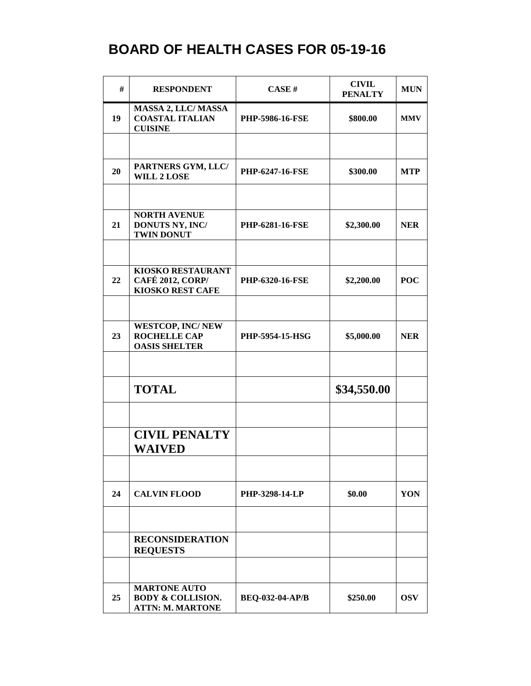| #  | <b>RESPONDENT</b>                                                              | CASE H                 | <b>CIVIL</b><br><b>PENALTY</b> | <b>MUN</b> |
|----|--------------------------------------------------------------------------------|------------------------|--------------------------------|------------|
| 19 | <b>MASSA 2, LLC/ MASSA</b><br><b>COASTAL ITALIAN</b><br><b>CUISINE</b>         | <b>PHP-5986-16-FSE</b> | \$800.00                       | <b>MMV</b> |
|    |                                                                                |                        |                                |            |
| 20 | PARTNERS GYM, LLC/<br><b>WILL 2 LOSE</b>                                       | <b>PHP-6247-16-FSE</b> | \$300.00                       | <b>MTP</b> |
|    |                                                                                |                        |                                |            |
| 21 | <b>NORTH AVENUE</b><br>DONUTS NY, INC/<br><b>TWIN DONUT</b>                    | <b>PHP-6281-16-FSE</b> | \$2,300.00                     | <b>NER</b> |
|    |                                                                                |                        |                                |            |
| 22 | KIOSKO RESTAURANT<br><b>CAFÉ 2012, CORP/</b><br><b>KIOSKO REST CAFE</b>        | <b>PHP-6320-16-FSE</b> | \$2,200.00                     | <b>POC</b> |
|    |                                                                                |                        |                                |            |
| 23 | <b>WESTCOP, INC/NEW</b><br><b>ROCHELLE CAP</b><br><b>OASIS SHELTER</b>         | <b>PHP-5954-15-HSG</b> | \$5,000.00                     | <b>NER</b> |
|    |                                                                                |                        |                                |            |
|    | <b>TOTAL</b>                                                                   |                        | \$34,550.00                    |            |
|    |                                                                                |                        |                                |            |
|    | <b>CIVIL PENALTY</b><br><b>WAIVED</b>                                          |                        |                                |            |
|    |                                                                                |                        |                                |            |
| 24 | <b>CALVIN FLOOD</b>                                                            | <b>PHP-3298-14-LP</b>  | \$0.00                         | YON        |
|    |                                                                                |                        |                                |            |
|    | <b>RECONSIDERATION</b><br><b>REQUESTS</b>                                      |                        |                                |            |
|    |                                                                                |                        |                                |            |
| 25 | <b>MARTONE AUTO</b><br><b>BODY &amp; COLLISION.</b><br><b>ATTN: M. MARTONE</b> | <b>BEQ-032-04-AP/B</b> | \$250.00                       | <b>OSV</b> |